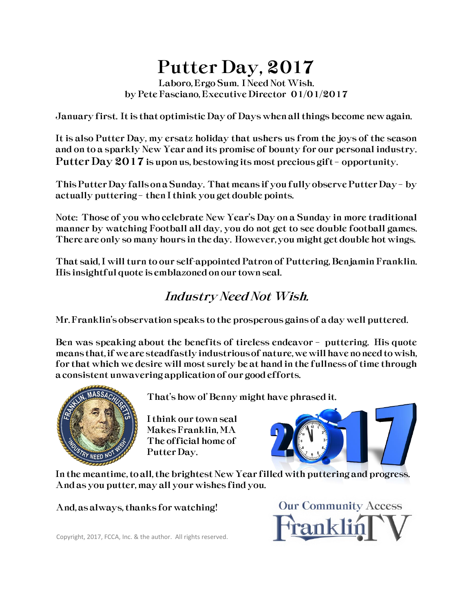### Putter Day, 2017

Laboro, Ergo Sum. I Need Not Wish. by Pete Fasciano, Executive Director 01/01/2017

January first. It is that optimistic Day of Days when all things become new again.

It is also Putter Day, my ersatz holiday that ushers us from the joys of the season and on to a sparkly New Year and its promise of bounty for our personal industry. Putter Day 2017 is upon us, bestowing its most precious gift – opportunity.

This Putter Day falls on a Sunday. That means if you fully observe Putter Day – by actually puttering – then I think you get double points.

Note: Those of you who celebrate New Year's Day on a Sunday in more traditional manner by watching Football all day, you do not get to see double football games. There are only so many hours in the day. However, you might get double hot wings.

That said, I will turn to our self-appointed Patron of Puttering, Benjamin Franklin. His insightful quote is emblazoned on our town seal.

#### Industry Need Not Wish.

Mr. Franklin's observation speaks to the prosperous gains of a day well puttered.

Ben was speaking about the benefits of tireless endeavor – puttering. His quote means that, if we are steadfastly industrious of nature, we will have no need to wish, for that which we desire will most surely be at hand in the fullness of time through a consistent unwavering application of our good efforts.



That's how ol' Benny might have phrased it.

 I think our town seal Makes Franklin, MA The official home of Putter Day.



In the meantime, to all, the brightest New Year filled with puttering and progress. And as you putter, may all your wishes find you.

And, as always, thanks for watching!

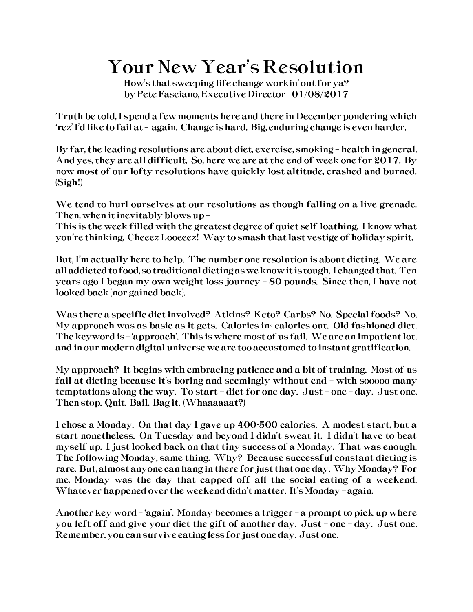### Your New Year's Resolution

How's that sweeping life change workin' out for ya? by Pete Fasciano, Executive Director 01/08/2017

Truth be told, I spend a few moments here and there in December pondering which 'rez' I'd like to fail at – again. Change is hard. Big, enduring change is even harder.

By far, the leading resolutions are about diet, exercise, smoking – health in general. And yes, they are all difficult. So, here we are at the end of week one for 2017. By now most of our lofty resolutions have quickly lost altitude, crashed and burned. (Sigh!)

We tend to hurl ourselves at our resolutions as though falling on a live grenade. Then, when it inevitably blows up –

This is the week filled with the greatest degree of quiet self-loathing. I know what you're thinking. Cheeez Looeeez! Way to smash that last vestige of holiday spirit.

But, I'm actually here to help. The number one resolution is about dieting. We are all addicted to food, so traditional dieting as we know it is tough. I changed that. Ten years ago I began my own weight loss journey – 80 pounds. Since then, I have not looked back (nor gained back).

Was there a specific diet involved? Atkins? Keto? Carbs? No. Special foods? No. My approach was as basic as it gets. Calories in< calories out. Old fashioned diet. The keyword is – 'approach'. This is where most of us fail. We are an impatient lot, and in our modern digital universe we are too accustomed to instant gratification.

My approach? It begins with embracing patience and a bit of training. Most of us fail at dieting because it's boring and seemingly without end – with sooooo many temptations along the way. To start – diet for one day. Just – one – day. Just one. Then stop. Quit. Bail. Bag it. (Whaaaaaat?)

I chose a Monday. On that day I gave up 400-500 calories. A modest start, but a start nonetheless. On Tuesday and beyond I didn't sweat it. I didn't have to beat myself up. I just looked back on that tiny success of a Monday. That was enough. The following Monday, same thing. Why? Because successful constant dieting is rare. But, almost anyone can hang in there for just that one day. Why Monday? For me, Monday was the day that capped off all the social eating of a weekend. Whatever happened over the weekend didn't matter. It's Monday – again.

Another key word – 'again'. Monday becomes a trigger – a prompt to pick up where you left off and give your diet the gift of another day. Just – one – day. Just one. Remember, you can survive eating less for just one day. Just one.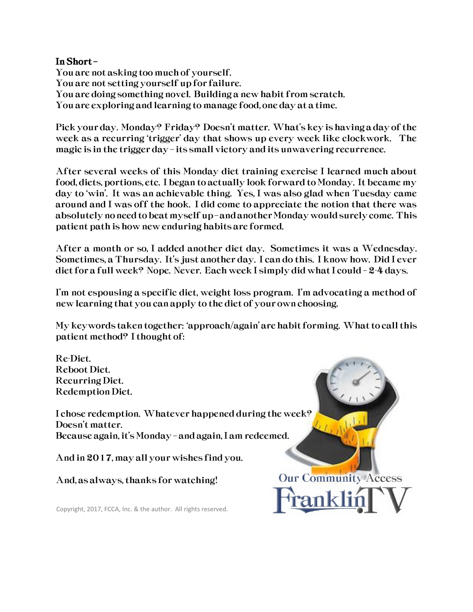#### In Short –

You are not asking too much of yourself. You are not setting yourself up for failure. You are doing something novel. Building a new habit from scratch. You are exploring and learning to manage food, one day at a time.

Pick your day. Monday? Friday? Doesn't matter. What's key is having a day of the week as a recurring 'trigger' day that shows up every week like clockwork. The magic is in the trigger day – its small victory and its unwavering recurrence.

After several weeks of this Monday diet training exercise I learned much about food, diets, portions, etc. I began to actually look forward to Monday. It became my day to 'win'. It was an achievable thing. Yes, I was also glad when Tuesday came around and I was off the hook. I did come to appreciate the notion that there was absolutely no need to beat myself up –and another Monday would surely come. This patient path is how new enduring habits are formed.

After a month or so, I added another diet day. Sometimes it was a Wednesday. Sometimes, a Thursday. It's just another day. I can do this. I know how. Did I ever diet for a full week? Nope. Never. Each week I simply did what I could – 2-4 days.

I'm not espousing a specific diet, weight loss program. I'm advocating a method of new learning that you can apply to the diet of your own choosing.

My keywords taken together: 'approach/again' are habit forming. What to call this patient method? I thought of:

**Our Community Access** 

Re-Diet. Reboot Diet. Recurring Diet. Redemption Diet.

I chose redemption. Whatever happened during the week? Doesn't matter. Because again, it's Monday – and again, I am redeemed.

And in 2017, may all your wishes find you.

And, as always, thanks for watching!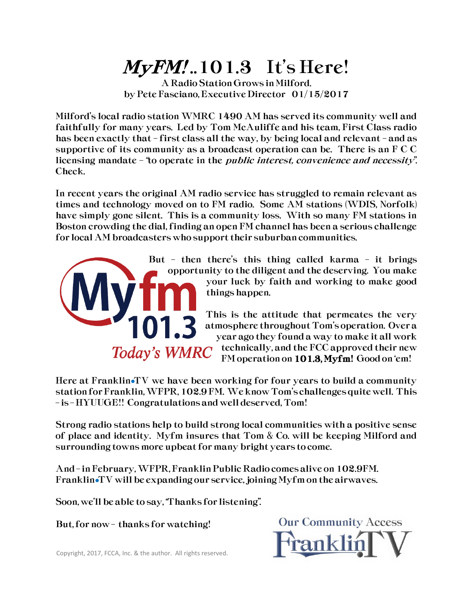# $MyFM!.101.3$  It's Here!

A Radio Station Grows in Milford. by Pete Fasciano, Executive Director 01/15/2017

Milford's local radio station WMRC 1490 AM has served its community well and faithfully for many years. Led by Tom McAuliffe and his team, First Class radio has been exactly that – first class all the way, by being local and relevant – and as supportive of its community as a broadcast operation can be. There is an F C C licensing mandate – "to operate in the public interest, convenience and necessity". Check.

In recent years the original AM radio service has struggled to remain relevant as times and technology moved on to FM radio. Some AM stations (WDIS, Norfolk) have simply gone silent. This is a community loss. With so many FM stations in Boston crowding the dial, finding an open FM channel has been a serious challenge for local AM broadcasters who support their suburban communities.



But – then there's this thing called karma – it brings opportunity to the diligent and the deserving. You make your luck by faith and working to make good things happen.

> This is the attitude that permeates the very atmosphere throughout Tom's operation. Over a year ago they found a way to make it all work technically, and the FCC approved their new FM operation on 101.3, Myfm! Good on 'em!

Here at Franklin $\mathbf{f}$  we have been working for four years to build a community station for Franklin, WFPR, 102.9 FM. We know Tom's challenges quite well. This – is – HYUUGE!! Congratulations and well deserved, Tom!

Strong radio stations help to build strong local communities with a positive sense of place and identity. Myfm insures that Tom & Co. will be keeping Milford and surrounding towns more upbeat for many bright years to come.

And – in February, WFPR, Franklin Public Radio comes alive on 102.9FM. Franklin•TV will be expanding our service, joining Myfm on the airwaves.

Soon, we'll be able to say, "Thanks for listening".

But, for now – thanks for watching!

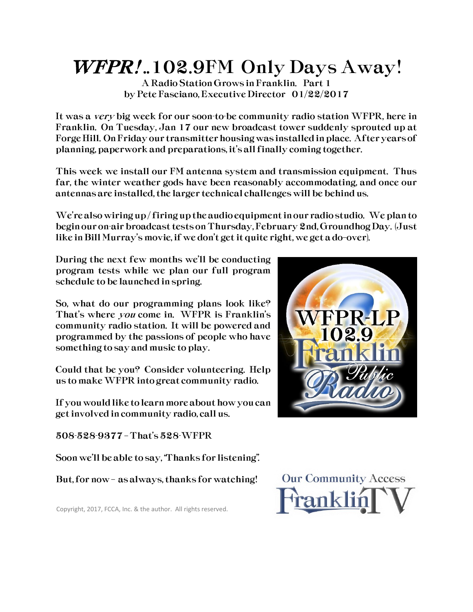# WFPR!..102.9FM Only Days Away!

A Radio Station Grows in Franklin. Part 1 by Pete Fasciano, Executive Director 01/22/2017

It was a very big week for our soon-to-be community radio station WFPR, here in Franklin. On Tuesday, Jan 17 our new broadcast tower suddenly sprouted up at Forge Hill. On Friday our transmitter housing was installed in place. After years of planning, paperwork and preparations, it's all finally coming together.

This week we install our FM antenna system and transmission equipment. Thus far, the winter weather gods have been reasonably accommodating, and once our antennas are installed, the larger technical challenges will be behind us.

We're also wiring up / firing up the audio equipment in our radio studio. We plan to begin our on-air broadcast tests on Thursday, February 2nd, Groundhog Day. (Just like in Bill Murray's movie, if we don't get it quite right, we get a do–over).

During the next few months we'll be conducting program tests while we plan our full program schedule to be launched in spring.

So, what do our programming plans look like? That's where you come in. WFPR is Franklin's community radio station. It will be powered and programmed by the passions of people who have something to say and music to play.

Could that be you? Consider volunteering. Help us to make WFPR into great community radio.

If you would like to learn more about how you can get involved in community radio, call us.

508-528-9377 – That's 528-WFPR

Soon we'll be able to say, "Thanks for listening".

But, for now – as always, thanks for watching!



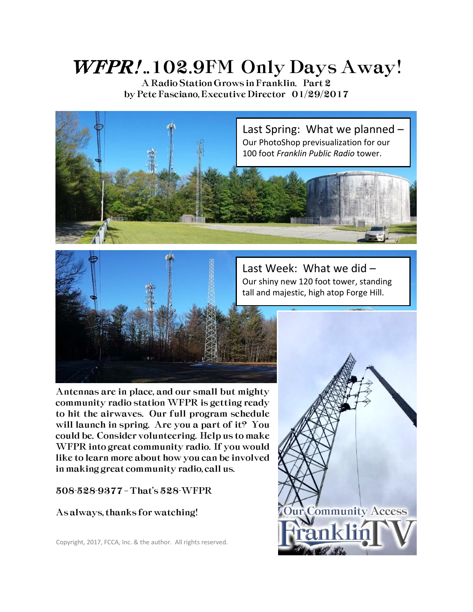# WFPR!..102.9FM Only Days Away!

A Radio Station Grows in Franklin. Part 2 by Pete Fasciano, Executive Director 01/29/2017



Last Week: What we did – Our shiny new 120 foot tower, standing tall and majestic, high atop Forge Hill.



Antennas are in place, and our small but mighty community radio station WFPR is getting ready to hit the airwaves. Our full program schedule will launch in spring. Are you a part of it? You could be. Consider volunteering. Help us to make WFPR into great community radio. If you would like to learn more about how you can be involved in making great community radio, call us.

508-528-9377 – That's 528-WFPR

#### As always, thanks for watching!